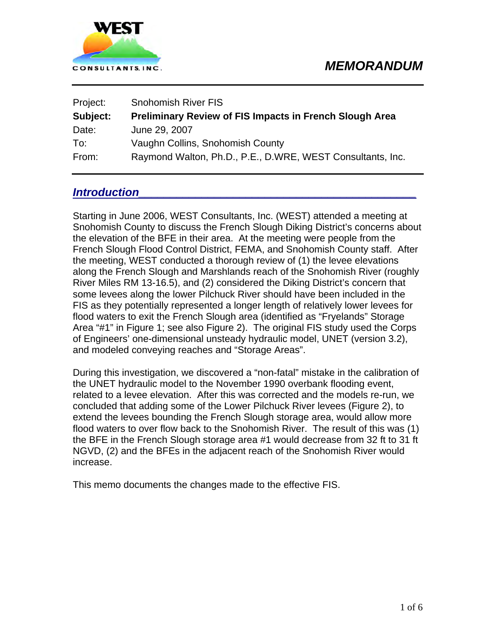

| Project: | <b>Snohomish River FIS</b>                                     |
|----------|----------------------------------------------------------------|
| Subject: | <b>Preliminary Review of FIS Impacts in French Slough Area</b> |
| Date:    | June 29, 2007                                                  |
| To:      | Vaughn Collins, Snohomish County                               |
| From:    | Raymond Walton, Ph.D., P.E., D.WRE, WEST Consultants, Inc.     |

## *Introduction*

Starting in June 2006, WEST Consultants, Inc. (WEST) attended a meeting at Snohomish County to discuss the French Slough Diking District's concerns about the elevation of the BFE in their area. At the meeting were people from the French Slough Flood Control District, FEMA, and Snohomish County staff. After the meeting, WEST conducted a thorough review of (1) the levee elevations along the French Slough and Marshlands reach of the Snohomish River (roughly River Miles RM 13-16.5), and (2) considered the Diking District's concern that some levees along the lower Pilchuck River should have been included in the FIS as they potentially represented a longer length of relatively lower levees for flood waters to exit the French Slough area (identified as "Fryelands" Storage Area "#1" in [Figure 1](#page-1-0); see also [Figure 2\)](#page-2-0). The original FIS study used the Corps of Engineers' one-dimensional unsteady hydraulic model, UNET (version 3.2), and modeled conveying reaches and "Storage Areas".

During this investigation, we discovered a "non-fatal" mistake in the calibration of the UNET hydraulic model to the November 1990 overbank flooding event, related to a levee elevation. After this was corrected and the models re-run, we concluded that adding some of the Lower Pilchuck River levees [\(Figure 2](#page-2-0)), to extend the levees bounding the French Slough storage area, would allow more flood waters to over flow back to the Snohomish River. The result of this was (1) the BFE in the French Slough storage area #1 would decrease from 32 ft to 31 ft NGVD, (2) and the BFEs in the adjacent reach of the Snohomish River would increase.

This memo documents the changes made to the effective FIS.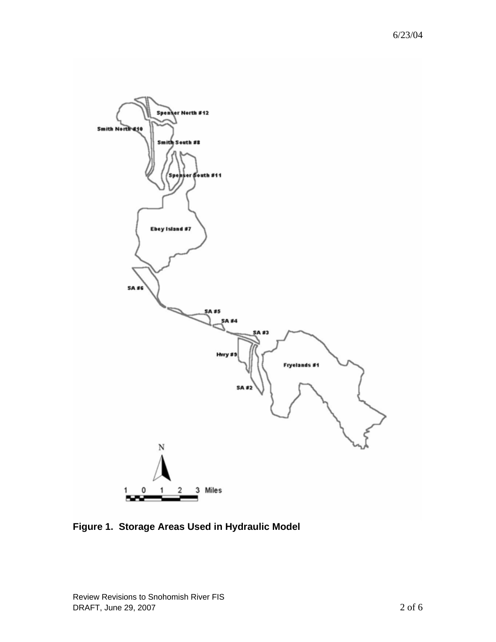

<span id="page-1-0"></span>**Figure 1. Storage Areas Used in Hydraulic Model**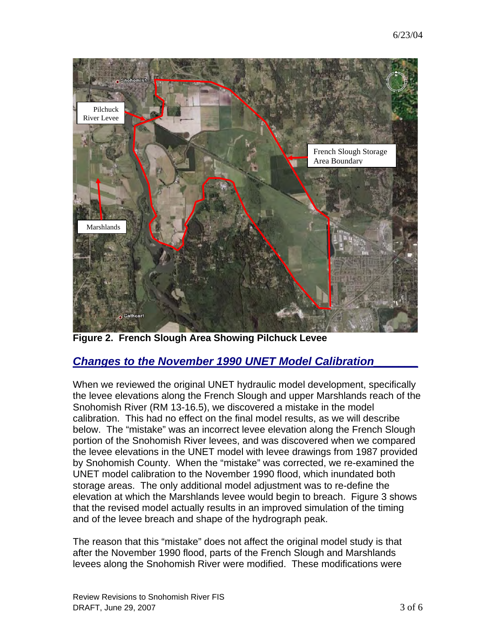

**Figure 2. French Slough Area Showing Pilchuck Levee** 

## <span id="page-2-0"></span>*Changes to the November 1990 UNET Model Calibration\_\_\_\_\_\_\_*

When we reviewed the original UNET hydraulic model development, specifically the levee elevations along the French Slough and upper Marshlands reach of the Snohomish River (RM 13-16.5), we discovered a mistake in the model calibration. This had no effect on the final model results, as we will describe below. The "mistake" was an incorrect levee elevation along the French Slough portion of the Snohomish River levees, and was discovered when we compared the levee elevations in the UNET model with levee drawings from 1987 provided by Snohomish County. When the "mistake" was corrected, we re-examined the UNET model calibration to the November 1990 flood, which inundated both storage areas. The only additional model adjustment was to re-define the elevation at which the Marshlands levee would begin to breach. [Figure 3](#page-3-0) shows that the revised model actually results in an improved simulation of the timing and of the levee breach and shape of the hydrograph peak.

The reason that this "mistake" does not affect the original model study is that after the November 1990 flood, parts of the French Slough and Marshlands levees along the Snohomish River were modified. These modifications were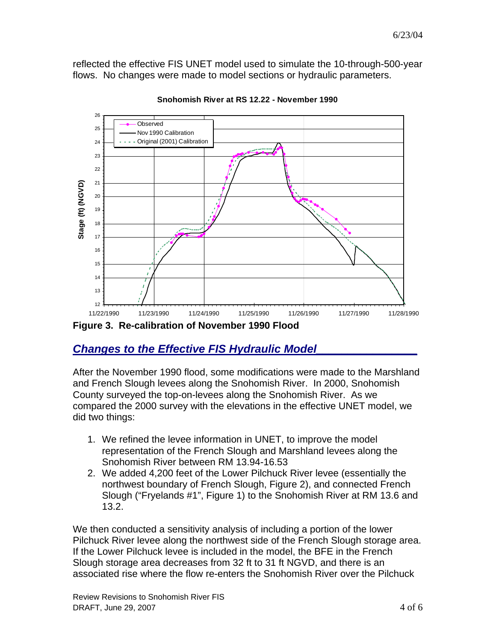reflected the effective FIS UNET model used to simulate the 10-through-500-year flows. No changes were made to model sections or hydraulic parameters.



**Snohomish River at RS 12.22 - November 1990**

<span id="page-3-0"></span>**Figure 3. Re-calibration of November 1990 Flood** 

## *Changes to the Effective FIS Hydraulic Model\_\_\_\_\_\_\_\_\_\_\_\_\_\_\_\_*

After the November 1990 flood, some modifications were made to the Marshland and French Slough levees along the Snohomish River. In 2000, Snohomish County surveyed the top-on-levees along the Snohomish River. As we compared the 2000 survey with the elevations in the effective UNET model, we did two things:

- 1. We refined the levee information in UNET, to improve the model representation of the French Slough and Marshland levees along the Snohomish River between RM 13.94-16.53
- 2. We added 4,200 feet of the Lower Pilchuck River levee (essentially the northwest boundary of French Slough, [Figure 2\)](#page-2-0), and connected French Slough ("Fryelands #1", [Figure 1\)](#page-1-0) to the Snohomish River at RM 13.6 and 13.2.

We then conducted a sensitivity analysis of including a portion of the lower Pilchuck River levee along the northwest side of the French Slough storage area. If the Lower Pilchuck levee is included in the model, the BFE in the French Slough storage area decreases from 32 ft to 31 ft NGVD, and there is an associated rise where the flow re-enters the Snohomish River over the Pilchuck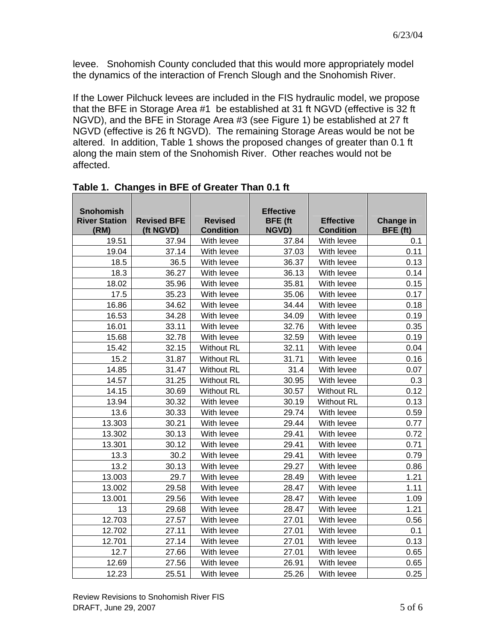levee. Snohomish County concluded that this would more appropriately model the dynamics of the interaction of French Slough and the Snohomish River.

If the Lower Pilchuck levees are included in the FIS hydraulic model, we propose that the BFE in Storage Area #1 be established at 31 ft NGVD (effective is 32 ft NGVD), and the BFE in Storage Area #3 (see [Figure 1](#page-1-0)) be established at 27 ft NGVD (effective is 26 ft NGVD). The remaining Storage Areas would be not be altered. In addition, [Table 1](#page-4-0) shows the proposed changes of greater than 0.1 ft along the main stem of the Snohomish River. Other reaches would not be affected.

<span id="page-4-0"></span>

| <b>Snohomish</b><br><b>River Station</b><br>(RM) | <b>Revised BFE</b><br>(ft NGVD) | <b>Revised</b><br><b>Condition</b> | <b>Effective</b><br><b>BFE</b> (ft<br><b>NGVD)</b> | <b>Effective</b><br><b>Condition</b> | Change in<br>BFE (ft) |
|--------------------------------------------------|---------------------------------|------------------------------------|----------------------------------------------------|--------------------------------------|-----------------------|
| 19.51                                            | 37.94                           | With levee                         | 37.84                                              | With levee                           | 0.1                   |
| 19.04                                            | 37.14                           | With levee                         | 37.03                                              | With levee                           | 0.11                  |
| 18.5                                             | 36.5                            | With levee                         | 36.37                                              | With levee                           | 0.13                  |
| 18.3                                             | 36.27                           | With levee                         | 36.13                                              | With levee                           | 0.14                  |
| 18.02                                            | 35.96                           | With levee                         | 35.81                                              | With levee                           | 0.15                  |
| 17.5                                             | 35.23                           | With levee                         | 35.06                                              | With levee                           | 0.17                  |
| 16.86                                            | 34.62                           | With levee                         | 34.44                                              | With levee                           | 0.18                  |
| 16.53                                            | 34.28                           | With levee                         | 34.09                                              | With levee                           | 0.19                  |
| 16.01                                            | 33.11                           | With levee                         | 32.76                                              | With levee                           | 0.35                  |
| 15.68                                            | 32.78                           | With levee                         | 32.59                                              | With levee                           | 0.19                  |
| 15.42                                            | 32.15                           | <b>Without RL</b>                  | 32.11                                              | With levee                           | 0.04                  |
| 15.2                                             | 31.87                           | <b>Without RL</b>                  | 31.71                                              | With levee                           | 0.16                  |
| 14.85                                            | 31.47                           | <b>Without RL</b>                  | 31.4                                               | With levee                           | 0.07                  |
| 14.57                                            | 31.25                           | <b>Without RL</b>                  | 30.95                                              | With levee                           | 0.3                   |
| 14.15                                            | 30.69                           | <b>Without RL</b>                  | 30.57                                              | <b>Without RL</b>                    | 0.12                  |
| 13.94                                            | 30.32                           | With levee                         | 30.19                                              | <b>Without RL</b>                    | 0.13                  |
| 13.6                                             | 30.33                           | With levee                         | 29.74                                              | With levee                           | 0.59                  |
| 13.303                                           | 30.21                           | With levee                         | 29.44                                              | With levee                           | 0.77                  |
| 13.302                                           | 30.13                           | With levee                         | 29.41                                              | With levee                           | 0.72                  |
| 13.301                                           | 30.12                           | With levee                         | 29.41                                              | With levee                           | 0.71                  |
| 13.3                                             | 30.2                            | With levee                         | 29.41                                              | With levee                           | 0.79                  |
| 13.2                                             | 30.13                           | With levee                         | 29.27                                              | With levee                           | 0.86                  |
| 13.003                                           | 29.7                            | With levee                         | 28.49                                              | With levee                           | 1.21                  |
| 13.002                                           | 29.58                           | With levee                         | 28.47                                              | With levee                           | 1.11                  |
| 13.001                                           | 29.56                           | With levee                         | 28.47                                              | With levee                           | 1.09                  |
| 13                                               | 29.68                           | With levee                         | 28.47                                              | With levee                           | 1.21                  |
| 12.703                                           | 27.57                           | With levee                         | 27.01                                              | With levee                           | 0.56                  |
| 12.702                                           | 27.11                           | With levee                         | 27.01                                              | With levee                           | 0.1                   |
| 12.701                                           | 27.14                           | With levee                         | 27.01                                              | With levee                           | 0.13                  |
| 12.7                                             | 27.66                           | With levee                         | 27.01                                              | With levee                           | 0.65                  |
| 12.69                                            | 27.56                           | With levee                         | 26.91                                              | With levee                           | 0.65                  |
| 12.23                                            | 25.51                           | With levee                         | 25.26                                              | With levee                           | 0.25                  |

|  |  | Table 1. Changes in BFE of Greater Than 0.1 ft |  |  |  |
|--|--|------------------------------------------------|--|--|--|
|--|--|------------------------------------------------|--|--|--|